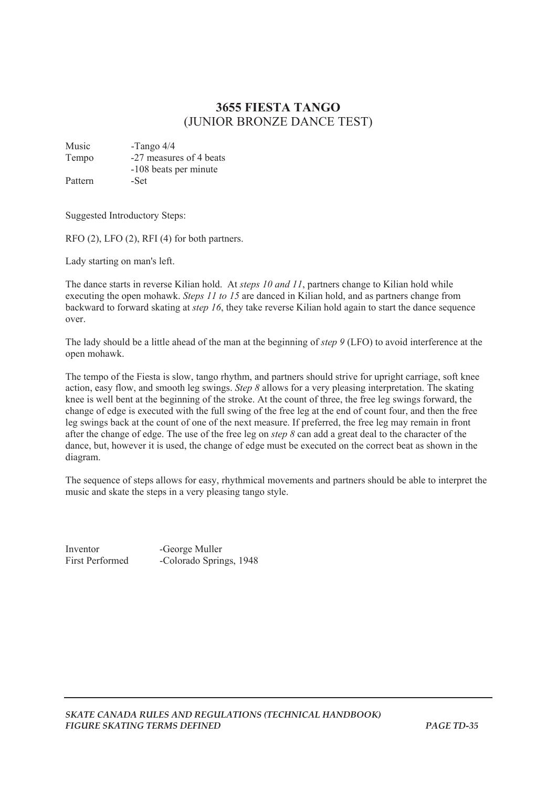## **3655 FIESTA TANGO**  (JUNIOR BRONZE DANCE TEST)

Music -Tango 4/4 Tempo -27 measures of 4 beats -108 beats per minute Pattern -Set

Suggested Introductory Steps:

RFO (2), LFO (2), RFI (4) for both partners.

Lady starting on man's left.

The dance starts in reverse Kilian hold. At *steps 10 and 11*, partners change to Kilian hold while executing the open mohawk. *Steps 11 to 15* are danced in Kilian hold, and as partners change from backward to forward skating at *step 16*, they take reverse Kilian hold again to start the dance sequence over.

The lady should be a little ahead of the man at the beginning of *step 9* (LFO) to avoid interference at the open mohawk.

The tempo of the Fiesta is slow, tango rhythm, and partners should strive for upright carriage, soft knee action, easy flow, and smooth leg swings. *Step 8* allows for a very pleasing interpretation. The skating knee is well bent at the beginning of the stroke. At the count of three, the free leg swings forward, the change of edge is executed with the full swing of the free leg at the end of count four, and then the free leg swings back at the count of one of the next measure. If preferred, the free leg may remain in front after the change of edge. The use of the free leg on *step 8* can add a great deal to the character of the dance, but, however it is used, the change of edge must be executed on the correct beat as shown in the diagram.

The sequence of steps allows for easy, rhythmical movements and partners should be able to interpret the music and skate the steps in a very pleasing tango style.

Inventor -George Muller

First Performed -Colorado Springs, 1948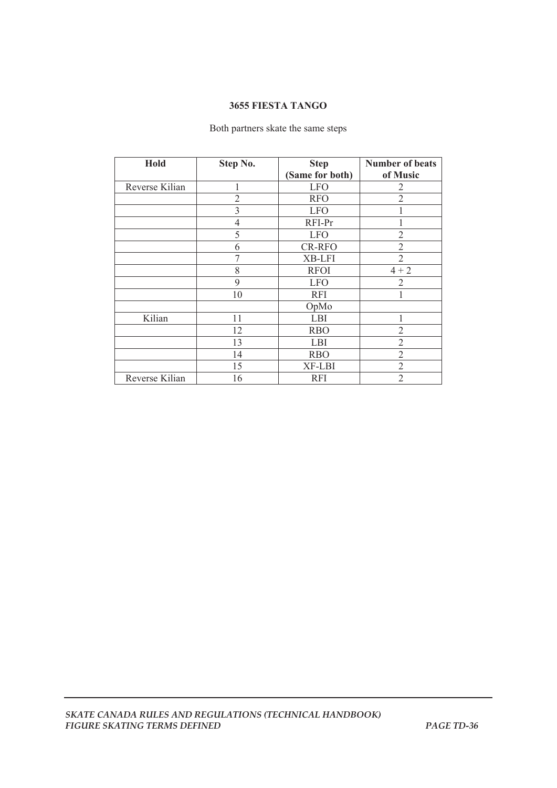## **3655 FIESTA TANGO**

## Both partners skate the same steps

| Hold           | Step No.       | <b>Step</b>     | <b>Number of beats</b> |
|----------------|----------------|-----------------|------------------------|
|                |                | (Same for both) | of Music               |
| Reverse Kilian |                | <b>LFO</b>      | 2                      |
|                | $\overline{2}$ | <b>RFO</b>      | $\overline{2}$         |
|                | 3              | <b>LFO</b>      |                        |
|                | 4              | RFI-Pr          |                        |
|                | 5              | <b>LFO</b>      | $\overline{2}$         |
|                | 6              | <b>CR-RFO</b>   | $\overline{2}$         |
|                | 7              | XB-LFI          | $\overline{2}$         |
|                | 8              | <b>RFOI</b>     | $4 + 2$                |
|                | 9              | <b>LFO</b>      | $\overline{2}$         |
|                | 10             | <b>RFI</b>      |                        |
|                |                | OpMo            |                        |
| Kilian         | 11             | LBI             |                        |
|                | 12             | <b>RBO</b>      | $\overline{2}$         |
|                | 13             | LBI             | $\overline{2}$         |
|                | 14             | <b>RBO</b>      | $\overline{2}$         |
|                | 15             | XF-LBI          | $\overline{2}$         |
| Reverse Kilian | 16             | <b>RFI</b>      | 2                      |